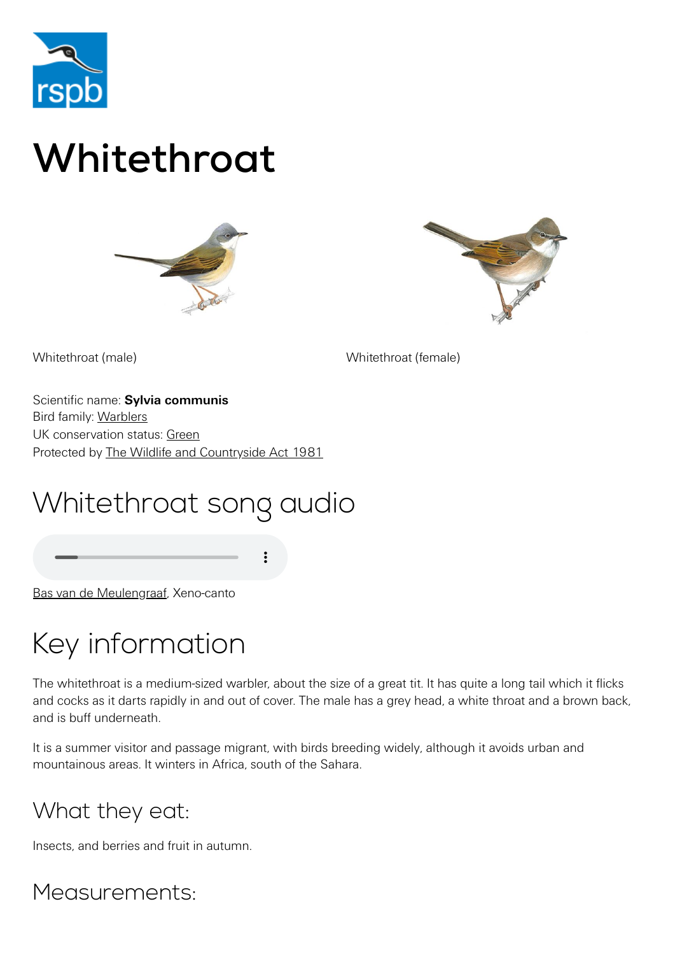

# Whitethroat





Whitethroat (male) Whitethroat (female)

Scientific name: **Sylvia communis** Bird family: [Warblers](https://www.rspb.org.uk/birds-and-wildlife/wildlife-guides/bird-a-z/warbler-family/) UK conservation status: [Green](https://www.rspb.org.uk/birds-and-wildlife/wildlife-guides/uk-conservation-status-explained/) Protected by [The Wildlife and Countryside Act 1981](https://www.rspb.org.uk/birds-and-wildlife/advice/wildlife-and-the-law/wildlife-and-countryside-act/)

## Whitethroat song audio

[Bas van de Meulengraaf](http://www.xeno-canto.org/34094), Xeno-canto

## Key information

The whitethroat is a medium-sized warbler, about the size of a great tit. It has quite a long tail which it flicks and cocks as it darts rapidly in and out of cover. The male has a grey head, a white throat and a brown back, and is buff underneath.

It is a summer visitor and passage migrant, with birds breeding widely, although it avoids urban and mountainous areas. It winters in Africa, south of the Sahara.

#### What they eat:

Insects, and berries and fruit in autumn.

Measurements: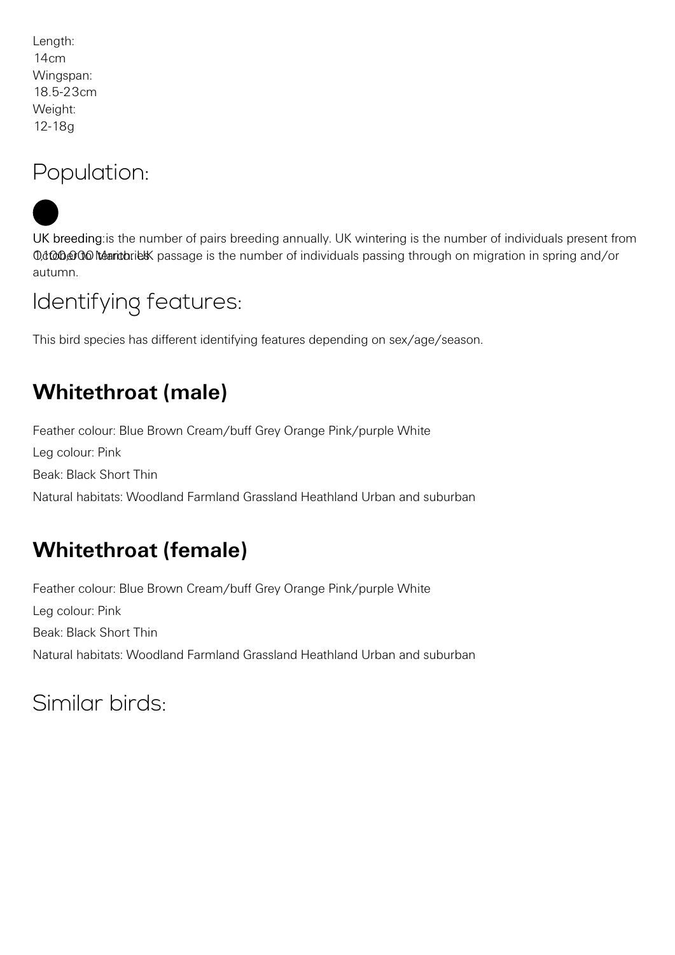Length: 14cm Wingspan: 18.5-23cm Weight: 12-18g

#### Population:



UK breeding: is the number of pairs breeding annually. UK wintering is the number of individuals present from 0,4000000 teantoriet passage is the number of individuals passing through on migration in spring and/or autumn.

#### Identifying features:

This bird species has different identifying features depending on sex/age/season.

### **Whitethroat (male)**

Feather colour: Blue Brown Cream/buff Grey Orange Pink/purple White Leg colour: Pink Beak: Black Short Thin Natural habitats: Woodland Farmland Grassland Heathland Urban and suburban

### **Whitethroat (female)**

Feather colour: Blue Brown Cream/buff Grey Orange Pink/purple White Leg colour: Pink Beak: Black Short Thin Natural habitats: Woodland Farmland Grassland Heathland Urban and suburban

Similar birds: